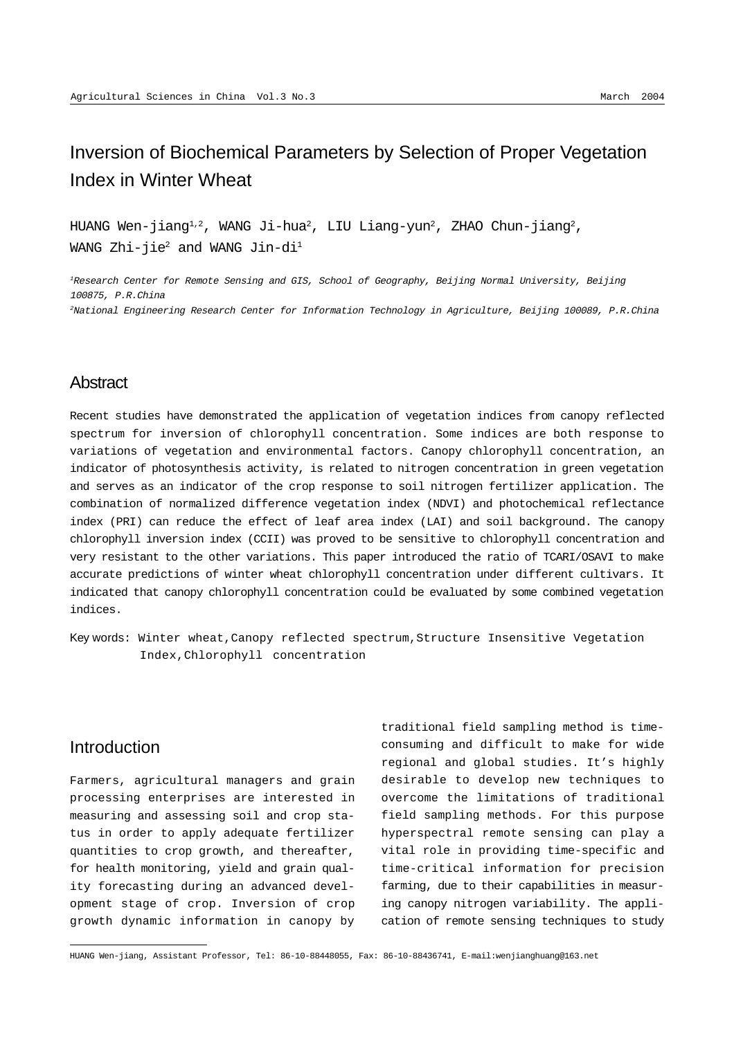# Inversion of Biochemical Parameters by Selection of Proper Vegetation Index in Winter Wheat

HUANG Wen-jiang $^{1,2}$ , WANG Ji-hua $^2$ , LIU Liang-yun $^2$ , ZHAO Chun-jiang $^2$ , WANG Zhi-jie $^2$  and WANG Jin-di $^1$ 

<sup>1</sup>Research Center for Remote Sensing and GIS, School of Geography, Beijing Normal University, Beijing 100875, P.R.China <sup>2</sup>National Engineering Research Center for Information Technology in Agriculture, Beijing 100089, P.R.China

### **Abstract**

Recent studies have demonstrated the application of vegetation indices from canopy reflected spectrum for inversion of chlorophyll concentration. Some indices are both response to variations of vegetation and environmental factors. Canopy chlorophyll concentration, an indicator of photosynthesis activity, is related to nitrogen concentration in green vegetation and serves as an indicator of the crop response to soil nitrogen fertilizer application. The combination of normalized difference vegetation index (NDVI) and photochemical reflectance index (PRI) can reduce the effect of leaf area index (LAI) and soil background. The canopy chlorophyll inversion index (CCII) was proved to be sensitive to chlorophyll concentration and very resistant to the other variations. This paper introduced the ratio of TCARI/OSAVI to make accurate predictions of winter wheat chlorophyll concentration under different cultivars. It indicated that canopy chlorophyll concentration could be evaluated by some combined vegetation indices.

Key words: Winter wheat,Canopy reflected spectrum,Structure Insensitive Vegetation Index,Chlorophyll concentration

### Introduction

Farmers, agricultural managers and grain processing enterprises are interested in measuring and assessing soil and crop status in order to apply adequate fertilizer quantities to crop growth, and thereafter, for health monitoring, yield and grain quality forecasting during an advanced development stage of crop. Inversion of crop growth dynamic information in canopy by

traditional field sampling method is timeconsuming and difficult to make for wide regional and global studies. It's highly desirable to develop new techniques to overcome the limitations of traditional field sampling methods. For this purpose hyperspectral remote sensing can play a vital role in providing time-specific and time-critical information for precision farming, due to their capabilities in measuring canopy nitrogen variability. The application of remote sensing techniques to study

HUANG Wen-jiang, Assistant Professor, Tel: 86-10-88448055, Fax: 86-10-88436741, E-mail:wenjianghuang@163.net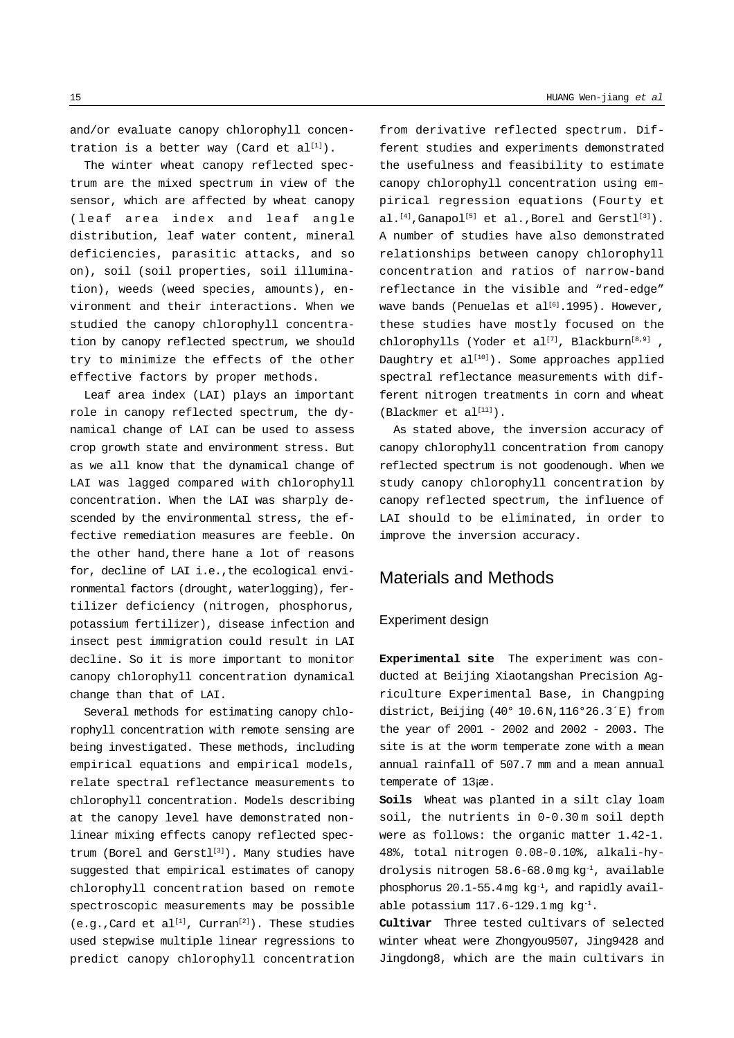and/or evaluate canopy chlorophyll concentration is a better way (Card et  $al^{[1]}$ ).

The winter wheat canopy reflected spectrum are the mixed spectrum in view of the sensor, which are affected by wheat canopy (leaf area index and leaf angle distribution, leaf water content, mineral deficiencies, parasitic attacks, and so on), soil (soil properties, soil illumination), weeds (weed species, amounts), environment and their interactions. When we studied the canopy chlorophyll concentration by canopy reflected spectrum, we should try to minimize the effects of the other effective factors by proper methods.

Leaf area index (LAI) plays an important role in canopy reflected spectrum, the dynamical change of LAI can be used to assess crop growth state and environment stress. But as we all know that the dynamical change of LAI was lagged compared with chlorophyll concentration. When the LAI was sharply descended by the environmental stress, the effective remediation measures are feeble. On the other hand,there hane a lot of reasons for, decline of LAI i.e.,the ecological environmental factors (drought, waterlogging), fertilizer deficiency (nitrogen, phosphorus, potassium fertilizer), disease infection and insect pest immigration could result in LAI decline. So it is more important to monitor canopy chlorophyll concentration dynamical change than that of LAI.

Several methods for estimating canopy chlorophyll concentration with remote sensing are being investigated. These methods, including empirical equations and empirical models, relate spectral reflectance measurements to chlorophyll concentration. Models describing at the canopy level have demonstrated nonlinear mixing effects canopy reflected spectrum (Borel and Gerstl<sup>[3]</sup>). Many studies have suggested that empirical estimates of canopy chlorophyll concentration based on remote spectroscopic measurements may be possible  $(e,q.)$ Card et al<sup>[1]</sup>, Curran<sup>[2]</sup>). These studies used stepwise multiple linear regressions to predict canopy chlorophyll concentration from derivative reflected spectrum. Different studies and experiments demonstrated the usefulness and feasibility to estimate canopy chlorophyll concentration using empirical regression equations (Fourty et al.<sup>[4]</sup>,Ganapol<sup>[5]</sup> et al.,Borel and Gerstl<sup>[3]</sup>). A number of studies have also demonstrated relationships between canopy chlorophyll concentration and ratios of narrow-band reflectance in the visible and "red-edge" wave bands (Penuelas et al<sup>[6]</sup>.1995). However, these studies have mostly focused on the chlorophylls (Yoder et al<sup>[7]</sup>, Blackburn<sup>[8,9]</sup>, Daughtry et  $al^{[10]}$ ). Some approaches applied spectral reflectance measurements with different nitrogen treatments in corn and wheat  $(Blackmer et al<sup>[11]</sup>)$ .

As stated above, the inversion accuracy of canopy chlorophyll concentration from canopy reflected spectrum is not goodenough. When we study canopy chlorophyll concentration by canopy reflected spectrum, the influence of LAI should to be eliminated, in order to improve the inversion accuracy.

## Materials and Methods

#### Experiment design

**Experimental site** The experiment was conducted at Beijing Xiaotangshan Precision Agriculture Experimental Base, in Changping district, Beijing (40° 10.6N,116°26.3´E) from the year of 2001 - 2002 and 2002 - 2003. The site is at the worm temperate zone with a mean annual rainfall of 507.7 mm and a mean annual temperate of 13¡æ.

**Soils** Wheat was planted in a silt clay loam soil, the nutrients in 0-0.30 m soil depth were as follows: the organic matter 1.42-1. 48%, total nitrogen 0.08-0.10%, alkali-hydrolysis nitrogen 58.6-68.0 mg kg-1, available phosphorus 20.1-55.4 mg kg-1, and rapidly available potassium  $117.6-129.1$  mg  $kg^{-1}$ .

**Cultivar** Three tested cultivars of selected winter wheat were Zhongyou9507, Jing9428 and Jingdong8, which are the main cultivars in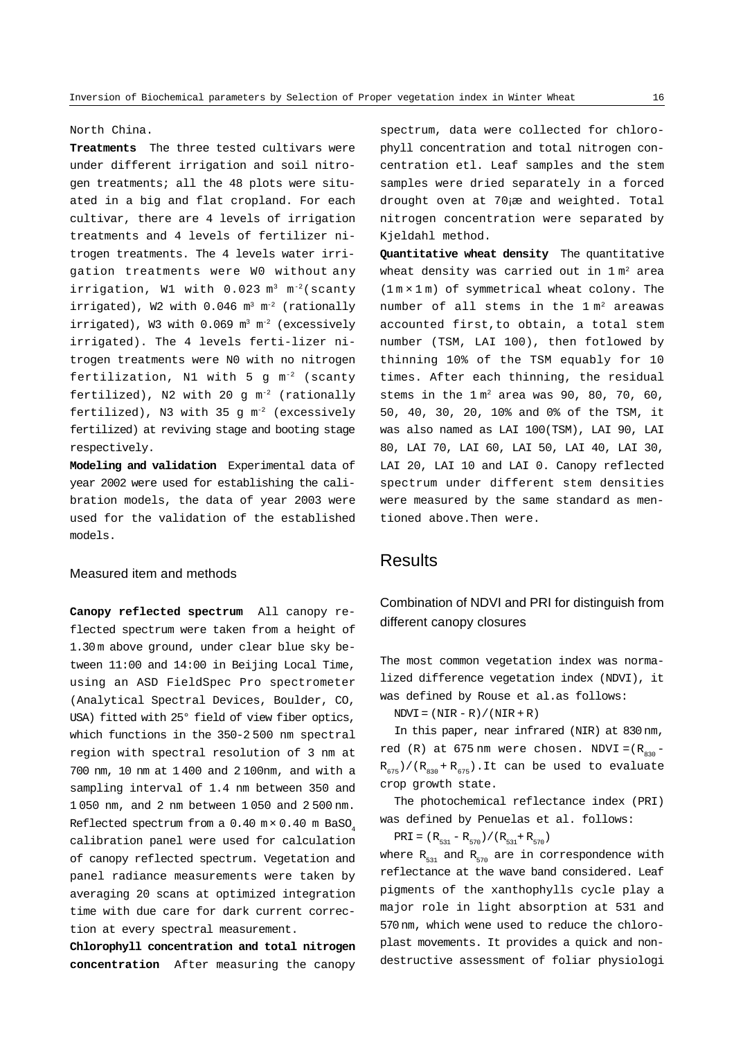### North China.

**Treatments** The three tested cultivars were under different irrigation and soil nitrogen treatments; all the 48 plots were situated in a big and flat cropland. For each cultivar, there are 4 levels of irrigation treatments and 4 levels of fertilizer nitrogen treatments. The 4 levels water irrigation treatments were W0 without any irrigation, W1 with  $0.023$  m<sup>3</sup> m<sup>-2</sup>(scanty irrigated), W2 with  $0.046$  m<sup>3</sup> m<sup>-2</sup> (rationally irrigated), W3 with 0.069 m<sup>3</sup> m<sup>-2</sup> (excessively irrigated). The 4 levels ferti-lizer nitrogen treatments were N0 with no nitrogen fertilization, N1 with 5 g m-2 (scanty fertilized), N2 with 20  $q m^{-2}$  (rationally fertilized), N3 with  $35 \text{ q m}^{-2}$  (excessively fertilized) at reviving stage and booting stage respectively.

**Modeling and validation** Experimental data of year 2002 were used for establishing the calibration models, the data of year 2003 were used for the validation of the established models.

#### Measured item and methods

**Canopy reflected spectrum** All canopy reflected spectrum were taken from a height of 1.30 m above ground, under clear blue sky between 11:00 and 14:00 in Beijing Local Time, using an ASD FieldSpec Pro spectrometer (Analytical Spectral Devices, Boulder, CO, USA) fitted with 25° field of view fiber optics, which functions in the 350-2 500 nm spectral region with spectral resolution of 3 nm at 700 nm, 10 nm at 1 400 and 2 100nm, and with a sampling interval of 1.4 nm between 350 and 1 050 nm, and 2 nm between 1 050 and 2 500 nm. Reflected spectrum from a  $0.40$  m $\times$  0.40 m BaSO. calibration panel were used for calculation of canopy reflected spectrum. Vegetation and panel radiance measurements were taken by averaging 20 scans at optimized integration time with due care for dark current correction at every spectral measurement.

**Chlorophyll concentration and total nitrogen concentration** After measuring the canopy

spectrum, data were collected for chlorophyll concentration and total nitrogen concentration etl. Leaf samples and the stem samples were dried separately in a forced drought oven at 70¡æ and weighted. Total nitrogen concentration were separated by Kjeldahl method.

**Quantitative wheat density** The quantitative wheat density was carried out in  $1 \text{ m}^2$  area (1 m × 1 m) of symmetrical wheat colony. The number of all stems in the  $1 m<sup>2</sup>$  areawas accounted first,to obtain, a total stem number (TSM, LAI 100), then fotlowed by thinning 10% of the TSM equably for 10 times. After each thinning, the residual stems in the  $1 m<sup>2</sup>$  area was 90, 80, 70, 60, 50, 40, 30, 20, 10% and 0% of the TSM, it was also named as LAI 100(TSM), LAI 90, LAI 80, LAI 70, LAI 60, LAI 50, LAI 40, LAI 30, LAI 20, LAI 10 and LAI 0. Canopy reflected spectrum under different stem densities were measured by the same standard as mentioned above.Then were.

### **Results**

## Combination of NDVI and PRI for distinguish from different canopy closures

The most common vegetation index was normalized difference vegetation index (NDVI), it was defined by Rouse et al.as follows:

 $NDVI = (NIR - R) / (NIR + R)$ 

In this paper, near infrared (NIR) at 830 nm, red (R) at  $675 \text{ nm}$  were chosen. NDVI =  $(R_{0.0} R_{675})/(R_{830} + R_{675})$ .It can be used to evaluate crop growth state.

The photochemical reflectance index (PRI) was defined by Penuelas et al. follows:

$$
PRI = (R_{531} - R_{570}) / (R_{531} + R_{570})
$$

where  $R_{531}$  and  $R_{570}$  are in correspondence with reflectance at the wave band considered. Leaf pigments of the xanthophylls cycle play a major role in light absorption at 531 and 570 nm, which wene used to reduce the chloroplast movements. It provides a quick and nondestructive assessment of foliar physiologi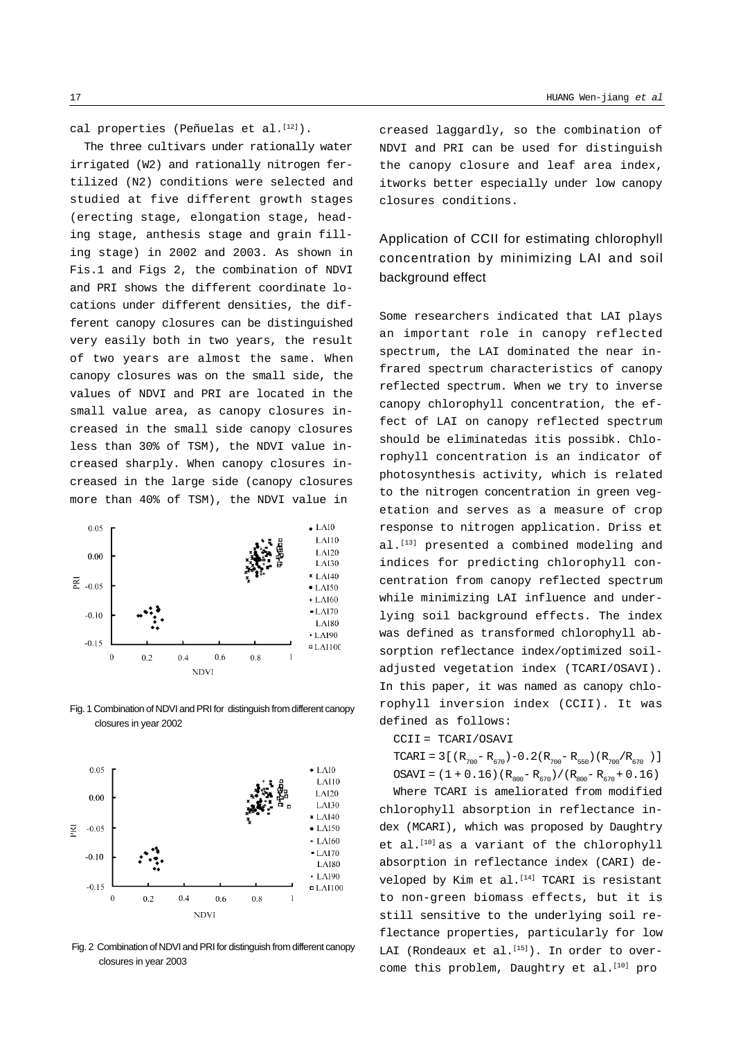cal properties (Peñuelas et al.<sup>[12]</sup>).

The three cultivars under rationally water irrigated (W2) and rationally nitrogen fertilized (N2) conditions were selected and studied at five different growth stages (erecting stage, elongation stage, heading stage, anthesis stage and grain filling stage) in 2002 and 2003. As shown in Fis.1 and Figs 2, the combination of NDVI and PRI shows the different coordinate locations under different densities, the different canopy closures can be distinguished very easily both in two years, the result of two years are almost the same. When canopy closures was on the small side, the values of NDVI and PRI are located in the small value area, as canopy closures increased in the small side canopy closures less than 30% of TSM), the NDVI value increased sharply. When canopy closures increased in the large side (canopy closures more than 40% of TSM), the NDVI value in



Fig. 1 Combination of NDVI and PRI for distinguish from different canopy closures in year 2002



Fig. 2 Combination of NDVI and PRI for distinguish from different canopy closures in year 2003

creased laggardly, so the combination of NDVI and PRI can be used for distinguish the canopy closure and leaf area index, itworks better especially under low canopy closures conditions.

## Application of CCII for estimating chlorophyll concentration by minimizing LAI and soil background effect

Some researchers indicated that LAI plays an important role in canopy reflected spectrum, the LAI dominated the near infrared spectrum characteristics of canopy reflected spectrum. When we try to inverse canopy chlorophyll concentration, the effect of LAI on canopy reflected spectrum should be eliminatedas itis possibk. Chlorophyll concentration is an indicator of photosynthesis activity, which is related to the nitrogen concentration in green vegetation and serves as a measure of crop response to nitrogen application. Driss et al.<sup>[13]</sup> presented a combined modeling and indices for predicting chlorophyll concentration from canopy reflected spectrum while minimizing LAI influence and underlying soil background effects. The index was defined as transformed chlorophyll absorption reflectance index/optimized soiladjusted vegetation index (TCARI/OSAVI). In this paper, it was named as canopy chlorophyll inversion index (CCII). It was defined as follows:

#### CCII = TCARI/OSAVI

TCARI = 3 [(R<sub>700</sub> - R<sub>670</sub>) - 0.2(R<sub>700</sub> - R<sub>550</sub>)(R<sub>700</sub>/R<sub>670</sub>)] OSAVI = (1 + 0.16)( $R_{800} - R_{670}$ )/( $R_{800} - R_{670} + 0.16$ )

Where TCARI is ameliorated from modified chlorophyll absorption in reflectance index (MCARI), which was proposed by Daughtry et al.<sup>[10]</sup> as a variant of the chlorophyll absorption in reflectance index (CARI) developed by Kim et al.<sup>[14]</sup> TCARI is resistant to non-green biomass effects, but it is still sensitive to the underlying soil reflectance properties, particularly for low LAI (Rondeaux et al. $^{[15]}$ ). In order to overcome this problem, Daughtry et al.<sup>[10]</sup> pro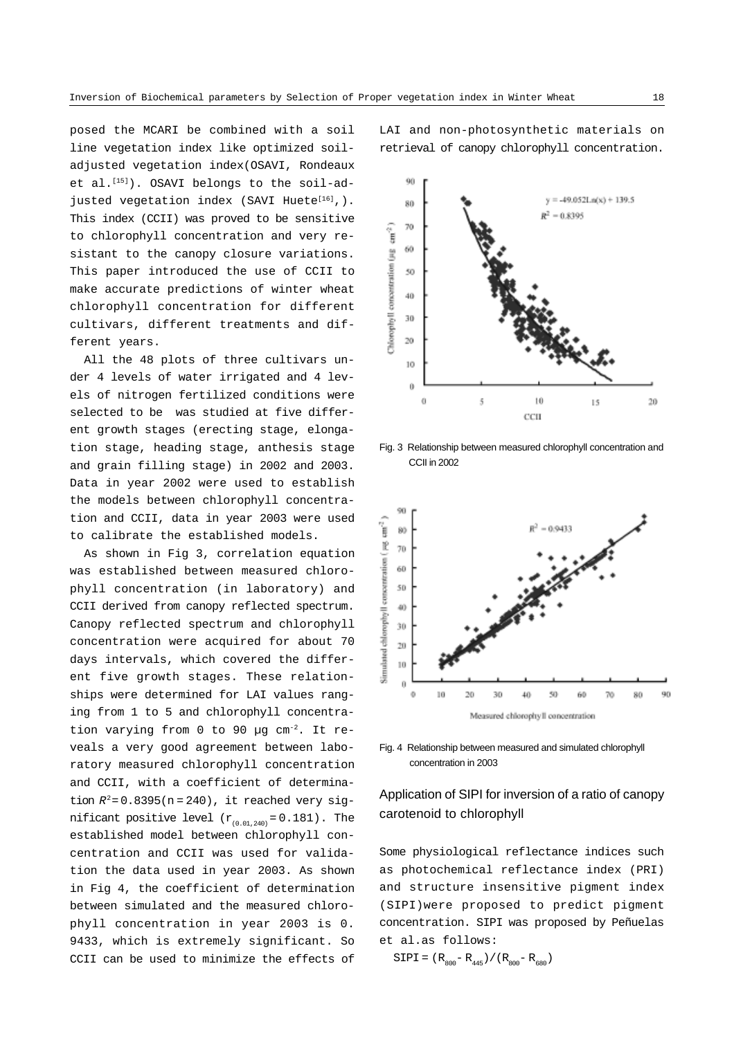posed the MCARI be combined with a soil line vegetation index like optimized soiladjusted vegetation index(OSAVI, Rondeaux et al.<sup>[15]</sup>). OSAVI belongs to the soil-adjusted vegetation index (SAVI Huete $[16]$ ,). This index (CCII) was proved to be sensitive to chlorophyll concentration and very resistant to the canopy closure variations. This paper introduced the use of CCII to make accurate predictions of winter wheat chlorophyll concentration for different cultivars, different treatments and different years.

All the 48 plots of three cultivars under 4 levels of water irrigated and 4 levels of nitrogen fertilized conditions were selected to be was studied at five different growth stages (erecting stage, elongation stage, heading stage, anthesis stage and grain filling stage) in 2002 and 2003. Data in year 2002 were used to establish the models between chlorophyll concentration and CCII, data in year 2003 were used to calibrate the established models.

As shown in Fig 3, correlation equation was established between measured chlorophyll concentration (in laboratory) and CCII derived from canopy reflected spectrum. Canopy reflected spectrum and chlorophyll concentration were acquired for about 70 days intervals, which covered the different five growth stages. These relationships were determined for LAI values ranging from 1 to 5 and chlorophyll concentration varying from 0 to 90 µg cm-2. It reveals a very good agreement between laboratory measured chlorophyll concentration and CCII, with a coefficient of determination  $R^2 = 0.8395(n = 240)$ , it reached very significant positive level  $(r_{(0.01,240)} = 0.181)$ . The established model between chlorophyll concentration and CCII was used for validation the data used in year 2003. As shown in Fig 4, the coefficient of determination between simulated and the measured chlorophyll concentration in year 2003 is 0. 9433, which is extremely significant. So CCII can be used to minimize the effects of LAI and non-photosynthetic materials on retrieval of canopy chlorophyll concentration.



Fig. 3 Relationship between measured chlorophyll concentration and CCII in 2002



Fig. 4 Relationship between measured and simulated chlorophyll concentration in 2003

### Application of SIPI for inversion of a ratio of canopy carotenoid to chlorophyll

Some physiological reflectance indices such as photochemical reflectance index (PRI) and structure insensitive pigment index (SIPI)were proposed to predict pigment concentration. SIPI was proposed by Peñuelas et al.as follows:

 $SIPI = (R_{800}-R_{445})/(R_{800}-R_{680})$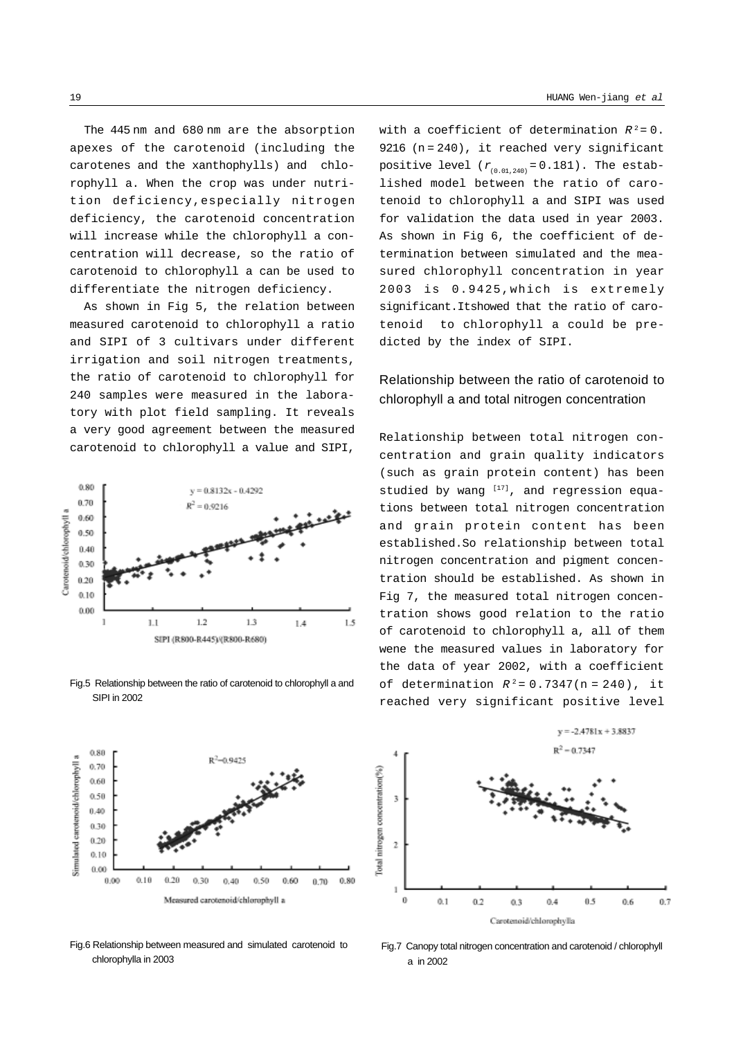The 445 nm and 680 nm are the absorption apexes of the carotenoid (including the carotenes and the xanthophylls) and chlorophyll a. When the crop was under nutrition deficiency,especially nitrogen deficiency, the carotenoid concentration will increase while the chlorophyll a concentration will decrease, so the ratio of carotenoid to chlorophyll a can be used to differentiate the nitrogen deficiency.

As shown in Fig 5, the relation between measured carotenoid to chlorophyll a ratio and SIPI of 3 cultivars under different irrigation and soil nitrogen treatments, the ratio of carotenoid to chlorophyll for 240 samples were measured in the laboratory with plot field sampling. It reveals a very good agreement between the measured carotenoid to chlorophyll a value and SIPI,



Fig.5 Relationship between the ratio of carotenoid to chlorophyll a and SIPI in 2002



Fig.6 Relationship between measured and simulated carotenoid to chlorophylla in 2003

with a coefficient of determination  $R^2 = 0$ . 9216 (n = 240), it reached very significant positive level  $(r_{(0.01,240)} = 0.181)$ . The established model between the ratio of carotenoid to chlorophyll a and SIPI was used for validation the data used in year 2003. As shown in Fig 6, the coefficient of determination between simulated and the measured chlorophyll concentration in year 2003 is 0.9425,which is extremely significant.Itshowed that the ratio of carotenoid to chlorophyll a could be predicted by the index of SIPI.

## Relationship between the ratio of carotenoid to chlorophyll a and total nitrogen concentration

Relationship between total nitrogen concentration and grain quality indicators (such as grain protein content) has been studied by wang [17], and regression equations between total nitrogen concentration and grain protein content has been established.So relationship between total nitrogen concentration and pigment concentration should be established. As shown in Fig 7, the measured total nitrogen concentration shows good relation to the ratio of carotenoid to chlorophyll a, all of them wene the measured values in laboratory for the data of year 2002, with a coefficient of determination  $R^2 = 0.7347(n = 240)$ , it reached very significant positive level



Fig.7 Canopy total nitrogen concentration and carotenoid / chlorophyll a in 2002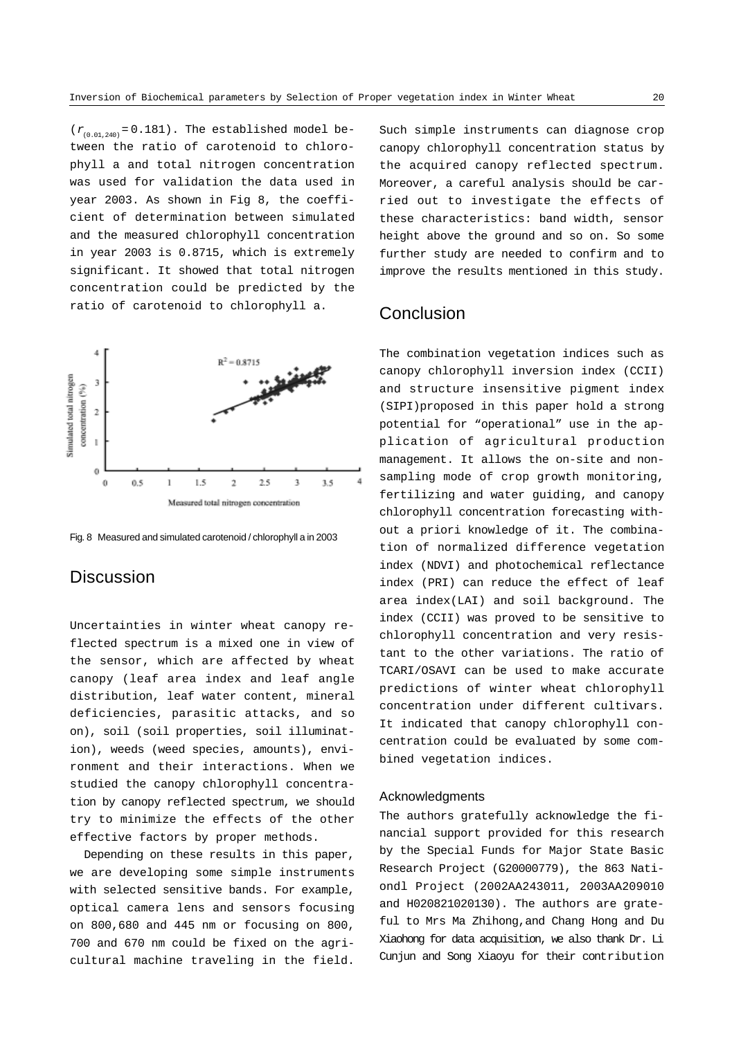$(r_{(0.01.240)} = 0.181)$ . The established model between the ratio of carotenoid to chlorophyll a and total nitrogen concentration was used for validation the data used in year 2003. As shown in Fig 8, the coefficient of determination between simulated and the measured chlorophyll concentration in year 2003 is 0.8715, which is extremely significant. It showed that total nitrogen concentration could be predicted by the ratio of carotenoid to chlorophyll a.



Fig. 8 Measured and simulated carotenoid / chlorophyll a in 2003

## **Discussion**

Uncertainties in winter wheat canopy reflected spectrum is a mixed one in view of the sensor, which are affected by wheat canopy (leaf area index and leaf angle distribution, leaf water content, mineral deficiencies, parasitic attacks, and so on), soil (soil properties, soil illumination), weeds (weed species, amounts), environment and their interactions. When we studied the canopy chlorophyll concentration by canopy reflected spectrum, we should try to minimize the effects of the other effective factors by proper methods.

Depending on these results in this paper, we are developing some simple instruments with selected sensitive bands. For example, optical camera lens and sensors focusing on 800,680 and 445 nm or focusing on 800, 700 and 670 nm could be fixed on the agricultural machine traveling in the field.

Such simple instruments can diagnose crop canopy chlorophyll concentration status by the acquired canopy reflected spectrum. Moreover, a careful analysis should be carried out to investigate the effects of these characteristics: band width, sensor height above the ground and so on. So some further study are needed to confirm and to improve the results mentioned in this study.

### **Conclusion**

The combination vegetation indices such as canopy chlorophyll inversion index (CCII) and structure insensitive pigment index (SIPI)proposed in this paper hold a strong potential for "operational" use in the application of agricultural production management. It allows the on-site and nonsampling mode of crop growth monitoring, fertilizing and water guiding, and canopy chlorophyll concentration forecasting without a priori knowledge of it. The combination of normalized difference vegetation index (NDVI) and photochemical reflectance index (PRI) can reduce the effect of leaf area index(LAI) and soil background. The index (CCII) was proved to be sensitive to chlorophyll concentration and very resistant to the other variations. The ratio of TCARI/OSAVI can be used to make accurate predictions of winter wheat chlorophyll concentration under different cultivars. It indicated that canopy chlorophyll concentration could be evaluated by some combined vegetation indices.

#### Acknowledgments

The authors gratefully acknowledge the financial support provided for this research by the Special Funds for Major State Basic Research Project (G20000779), the 863 Nationdl Project (2002AA243011, 2003AA209010 and H020821020130). The authors are grateful to Mrs Ma Zhihong,and Chang Hong and Du Xiaohong for data acquisition, we also thank Dr. Li Cunjun and Song Xiaoyu for their contribution